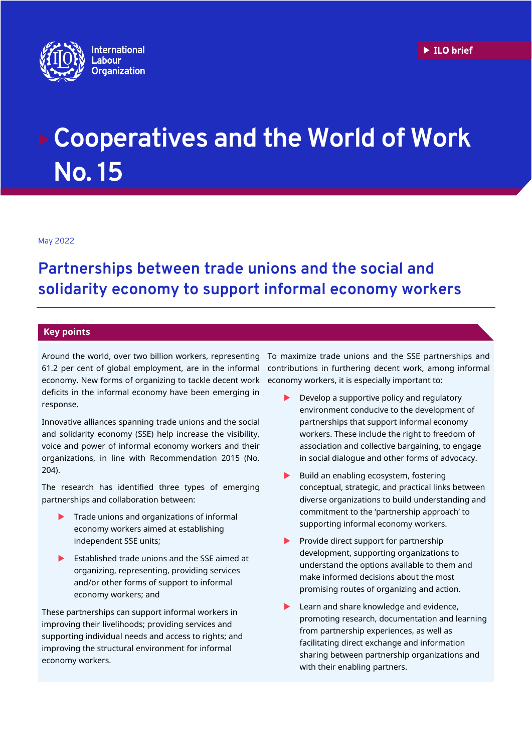

# **Cooperatives and the World of Work No. 15**

May 2022

**Partnerships between trade unions and the social and solidarity economy to support informal economy workers**

### **Key points**

61.2 per cent of global employment, are in the informal economy. New forms of organizing to tackle decent work deficits in the informal economy have been emerging in response.

Innovative alliances spanning trade unions and the social and solidarity economy (SSE) help increase the visibility, voice and power of informal economy workers and their organizations, in line with Recommendation 2015 (No. 204).

The research has identified three types of emerging partnerships and collaboration between:

- Trade unions and organizations of informal economy workers aimed at establishing independent SSE units;
- Established trade unions and the SSE aimed at organizing, representing, providing services and/or other forms of support to informal economy workers; and

These partnerships can support informal workers in improving their livelihoods; providing services and supporting individual needs and access to rights; and improving the structural environment for informal economy workers.

Around the world, over two billion workers, representing To maximize trade unions and the SSE partnerships and contributions in furthering decent work, among informal economy workers, it is especially important to:

- Develop a supportive policy and regulatory environment conducive to the development of partnerships that support informal economy workers. These include the right to freedom of association and collective bargaining, to engage in social dialogue and other forms of advocacy.
- Build an enabling ecosystem, fostering conceptual, strategic, and practical links between diverse organizations to build understanding and commitment to the 'partnership approach' to supporting informal economy workers.
- Provide direct support for partnership development, supporting organizations to understand the options available to them and make informed decisions about the most promising routes of organizing and action.
- Learn and share knowledge and evidence, promoting research, documentation and learning from partnership experiences, as well as facilitating direct exchange and information sharing between partnership organizations and with their enabling partners.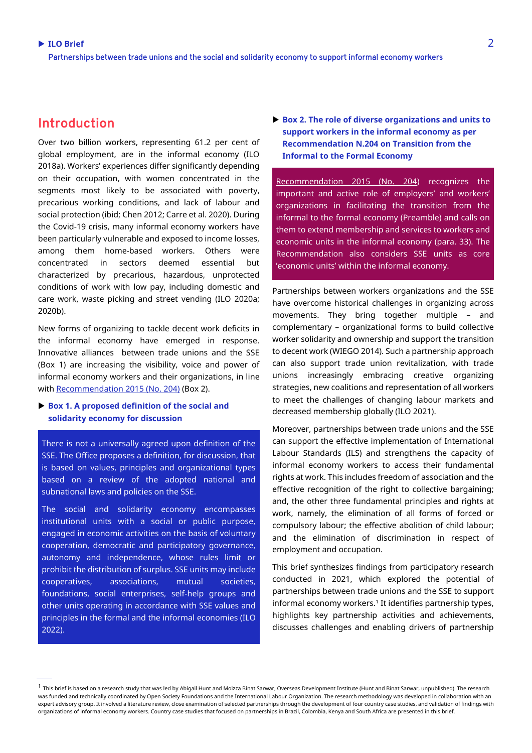# **Introduction**

Over two billion workers, representing 61.2 per cent of global employment, are in the informal economy (ILO 2018a). Workers' experiences differ significantly depending on their occupation, with women concentrated in the segments most likely to be associated with poverty, precarious working conditions, and lack of labour and social protection (ibid; Chen 2012; Carre et al. 2020). During the Covid-19 crisis, many informal economy workers have been particularly vulnerable and exposed to income losses, among them home-based workers. Others were concentrated in sectors deemed essential but characterized by precarious, hazardous, unprotected conditions of work with low pay, including domestic and care work, waste picking and street vending (ILO 2020a; 2020b).

New forms of organizing to tackle decent work deficits in the informal economy have emerged in response. Innovative alliances between trade unions and the SSE (Box 1) are increasing the visibility, voice and power of informal economy workers and their organizations, in line with [Recommendation 2015 \(No. 204\)](https://www.ilo.org/dyn/normlex/en/f?p=NORMLEXPUB:12100:0::NO::P12100_ILO_CODE:R204) (Box 2).

### **Box 1. A proposed definition of the social and solidarity economy for discussion**

There is not a universally agreed upon definition of the SSE. The Office proposes a definition, for discussion, that is based on values, principles and organizational types based on a review of the adopted national and subnational laws and policies on the SSE.

The social and solidarity economy encompasses institutional units with a social or public purpose, engaged in economic activities on the basis of voluntary cooperation, democratic and participatory governance, autonomy and independence, whose rules limit or prohibit the distribution of surplus. SSE units may include cooperatives, associations, mutual societies, foundations, social enterprises, self-help groups and other units operating in accordance with SSE values and principles in the formal and the informal economies (ILO 2022).

 **Box 2. The role of diverse organizations and units to support workers in the informal economy as per Recommendation N.204 on Transition from the Informal to the Formal Economy**

[Recommendation 2015 \(No. 204\)](https://www.ilo.org/dyn/normlex/en/f?p=NORMLEXPUB:12100:0::NO::P12100_ILO_CODE:R204) recognizes the important and active role of employers' and workers' organizations in facilitating the transition from the informal to the formal economy (Preamble) and calls on them to extend membership and services to workers and economic units in the informal economy (para. 33). The Recommendation also considers SSE units as core 'economic units' within the informal economy.

Partnerships between workers organizations and the SSE have overcome historical challenges in organizing across movements. They bring together multiple – and complementary – organizational forms to build collective worker solidarity and ownership and support the transition to decent work (WIEGO 2014). Such a partnership approach can also support trade union revitalization, with trade unions increasingly embracing creative organizing strategies, new coalitions and representation of all workers to meet the challenges of changing labour markets and decreased membership globally (ILO 2021).

Moreover, partnerships between trade unions and the SSE can support the effective implementation of International Labour Standards (ILS) and strengthens the capacity of informal economy workers to access their fundamental rights at work. This includes freedom of association and the effective recognition of the right to collective bargaining: and, the other three fundamental principles and rights at work, namely, the elimination of all forms of forced or compulsory labour; the effective abolition of child labour; and the elimination of discrimination in respect of employment and occupation.

This brief synthesizes findings from participatory research conducted in 2021, which explored the potential of partnerships between trade unions and the SSE to support informal economy workers.<sup>1</sup> It identifies partnership types, highlights key partnership activities and achievements, discusses challenges and enabling drivers of partnership

 $^{\rm 1}$  This brief is based on a research study that was led by Abigail Hunt and Moizza Binat Sarwar, Overseas Development Institute (Hunt and Binat Sarwar, unpublished). The research was funded and technically coordinated by Open Society Foundations and the International Labour Organization. The research methodology was developed in collaboration with an expert advisory group. It involved a literature review, close examination of selected partnerships through the development of four country case studies, and validation of findings with organizations of informal economy workers. Country case studies that focused on partnerships in Brazil, Colombia, Kenya and South Africa are presented in this brief.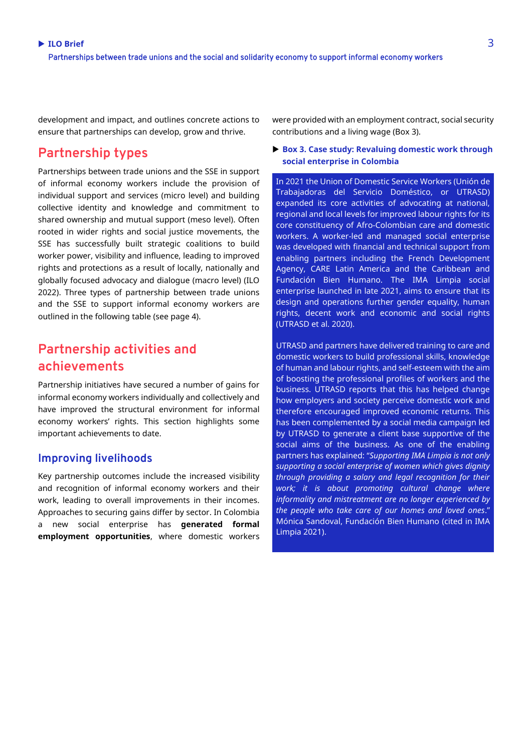development and impact, and outlines concrete actions to ensure that partnerships can develop, grow and thrive.

# **Partnership types**

Partnerships between trade unions and the SSE in support of informal economy workers include the provision of individual support and services (micro level) and building collective identity and knowledge and commitment to shared ownership and mutual support (meso level). Often rooted in wider rights and social justice movements, the SSE has successfully built strategic coalitions to build worker power, visibility and influence, leading to improved rights and protections as a result of locally, nationally and globally focused advocacy and dialogue (macro level) (ILO 2022). Three types of partnership between trade unions and the SSE to support informal economy workers are outlined in the following table (see page 4).

# **Partnership activities and achievements**

Partnership initiatives have secured a number of gains for informal economy workers individually and collectively and have improved the structural environment for informal economy workers' rights. This section highlights some important achievements to date.

### **Improving livelihoods**

Key partnership outcomes include the increased visibility and recognition of informal economy workers and their work, leading to overall improvements in their incomes. Approaches to securing gains differ by sector. In Colombia a new social enterprise has **generated formal employment opportunities**, where domestic workers were provided with an employment contract, social security contributions and a living wage (Box 3).

#### **Box 3. Case study: Revaluing domestic work through social enterprise in Colombia**

In 2021 the Union of Domestic Service Workers (Unión de Trabajadoras del Servicio Doméstico, or UTRASD) expanded its core activities of advocating at national, regional and local levels for improved labour rights for its core constituency of Afro-Colombian care and domestic workers. A worker-led and managed social enterprise was developed with financial and technical support from enabling partners including the French Development Agency, CARE Latin America and the Caribbean and Fundación Bien Humano. The IMA Limpia social enterprise launched in late 2021, aims to ensure that its design and operations further gender equality, human rights, decent work and economic and social rights (UTRASD et al. 2020).

UTRASD and partners have delivered training to care and domestic workers to build professional skills, knowledge of human and labour rights, and self-esteem with the aim of boosting the professional profiles of workers and the business. UTRASD reports that this has helped change how employers and society perceive domestic work and therefore encouraged improved economic returns. This has been complemented by a social media campaign led by UTRASD to generate a client base supportive of the social aims of the business. As one of the enabling partners has explained: "*Supporting IMA Limpia is not only supporting a social enterprise of women which gives dignity through providing a salary and legal recognition for their work; it is about promoting cultural change where informality and mistreatment are no longer experienced by the people who take care of our homes and loved ones*." Mónica Sandoval, Fundación Bien Humano (cited in IMA Limpia 2021).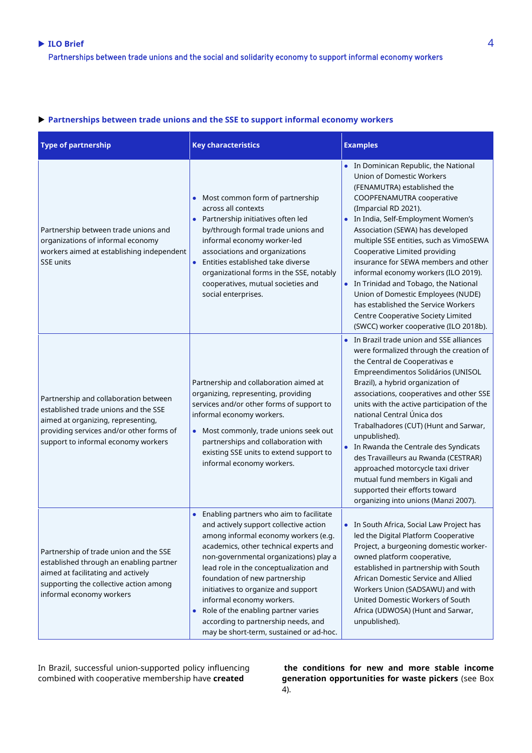Partnerships between trade unions and the social and solidarity economy to support informal economy workers

### **Partnerships between trade unions and the SSE to support informal economy workers**

| <b>Type of partnership</b>                                                                                                                                                                             | <b>Key characteristics</b>                                                                                                                                                                                                                                                                                                                                                                                                                                                                         | <b>Examples</b>                                                                                                                                                                                                                                                                                                                                                                                                                                                                                                                                                                                                      |
|--------------------------------------------------------------------------------------------------------------------------------------------------------------------------------------------------------|----------------------------------------------------------------------------------------------------------------------------------------------------------------------------------------------------------------------------------------------------------------------------------------------------------------------------------------------------------------------------------------------------------------------------------------------------------------------------------------------------|----------------------------------------------------------------------------------------------------------------------------------------------------------------------------------------------------------------------------------------------------------------------------------------------------------------------------------------------------------------------------------------------------------------------------------------------------------------------------------------------------------------------------------------------------------------------------------------------------------------------|
| Partnership between trade unions and<br>organizations of informal economy<br>workers aimed at establishing independent<br><b>SSE units</b>                                                             | Most common form of partnership<br>$\bullet$<br>across all contexts<br>Partnership initiatives often led<br>by/through formal trade unions and<br>informal economy worker-led<br>associations and organizations<br>Entities established take diverse<br>organizational forms in the SSE, notably<br>cooperatives, mutual societies and<br>social enterprises.                                                                                                                                      | • In Dominican Republic, the National<br>Union of Domestic Workers<br>(FENAMUTRA) established the<br>COOPFENAMUTRA cooperative<br>(Imparcial RD 2021).<br>In India, Self-Employment Women's<br>Association (SEWA) has developed<br>multiple SSE entities, such as VimoSEWA<br>Cooperative Limited providing<br>insurance for SEWA members and other<br>informal economy workers (ILO 2019).<br>In Trinidad and Tobago, the National<br>Union of Domestic Employees (NUDE)<br>has established the Service Workers<br>Centre Cooperative Society Limited<br>(SWCC) worker cooperative (ILO 2018b).                     |
| Partnership and collaboration between<br>established trade unions and the SSE<br>aimed at organizing, representing,<br>providing services and/or other forms of<br>support to informal economy workers | Partnership and collaboration aimed at<br>organizing, representing, providing<br>services and/or other forms of support to<br>informal economy workers.<br>Most commonly, trade unions seek out<br>$\bullet$<br>partnerships and collaboration with<br>existing SSE units to extend support to<br>informal economy workers.                                                                                                                                                                        | In Brazil trade union and SSE alliances<br>were formalized through the creation of<br>the Central de Cooperativas e<br>Empreendimentos Solidários (UNISOL<br>Brazil), a hybrid organization of<br>associations, cooperatives and other SSE<br>units with the active participation of the<br>national Central Única dos<br>Trabalhadores (CUT) (Hunt and Sarwar,<br>unpublished).<br>In Rwanda the Centrale des Syndicats<br>des Travailleurs au Rwanda (CESTRAR)<br>approached motorcycle taxi driver<br>mutual fund members in Kigali and<br>supported their efforts toward<br>organizing into unions (Manzi 2007). |
| Partnership of trade union and the SSE<br>established through an enabling partner<br>aimed at facilitating and actively<br>supporting the collective action among<br>informal economy workers          | Enabling partners who aim to facilitate<br>and actively support collective action<br>among informal economy workers (e.g.<br>academics, other technical experts and<br>non-governmental organizations) play a<br>lead role in the conceptualization and<br>foundation of new partnership<br>initiatives to organize and support<br>informal economy workers.<br>Role of the enabling partner varies<br>$\bullet$<br>according to partnership needs, and<br>may be short-term, sustained or ad-hoc. | • In South Africa, Social Law Project has<br>led the Digital Platform Cooperative<br>Project, a burgeoning domestic worker-<br>owned platform cooperative,<br>established in partnership with South<br>African Domestic Service and Allied<br>Workers Union (SADSAWU) and with<br>United Domestic Workers of South<br>Africa (UDWOSA) (Hunt and Sarwar,<br>unpublished).                                                                                                                                                                                                                                             |

In Brazil, successful union-supported policy influencing combined with cooperative membership have **created**

**the conditions for new and more stable income generation opportunities for waste pickers** (see Box 4).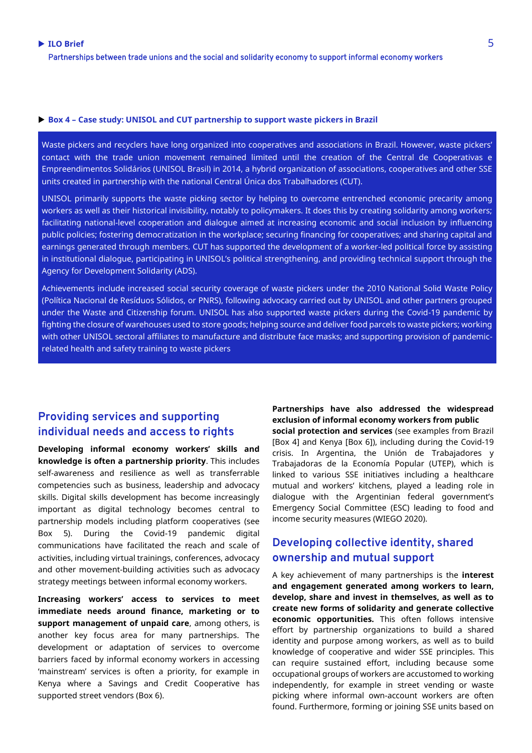#### **Box 4 – Case study: UNISOL and CUT partnership to support waste pickers in Brazil**

Waste pickers and recyclers have long organized into cooperatives and associations in Brazil. However, waste pickers' contact with the trade union movement remained limited until the creation of the Central de Cooperativas e Empreendimentos Solidários (UNISOL Brasil) in 2014, a hybrid organization of associations, cooperatives and other SSE units created in partnership with the national Central Única dos Trabalhadores (CUT).

UNISOL primarily supports the waste picking sector by helping to overcome entrenched economic precarity among workers as well as their historical invisibility, notably to policymakers. It does this by creating solidarity among workers; facilitating national-level cooperation and dialogue aimed at increasing economic and social inclusion by influencing public policies; fostering democratization in the workplace; securing financing for cooperatives; and sharing capital and earnings generated through members. CUT has supported the development of a worker-led political force by assisting in institutional dialogue, participating in UNISOL's political strengthening, and providing technical support through the Agency for Development Solidarity (ADS).

Achievements include increased social security coverage of waste pickers under the 2010 National Solid Waste Policy (Política Nacional de Resíduos Sólidos, or PNRS), following advocacy carried out by UNISOL and other partners grouped under the Waste and Citizenship forum. UNISOL has also supported waste pickers during the Covid-19 pandemic by fighting the closure of warehouses used to store goods; helping source and deliver food parcels to waste pickers; working with other UNISOL sectoral affiliates to manufacture and distribute face masks; and supporting provision of pandemicrelated health and safety training to waste pickers

# **Providing services and supporting individual needs and access to rights**

**Developing informal economy workers' skills and knowledge is often a partnership priority**. This includes self-awareness and resilience as well as transferrable competencies such as business, leadership and advocacy skills. Digital skills development has become increasingly important as digital technology becomes central to partnership models including platform cooperatives (see Box 5). During the Covid-19 pandemic digital communications have facilitated the reach and scale of activities, including virtual trainings, conferences, advocacy and other movement-building activities such as advocacy strategy meetings between informal economy workers.

**Increasing workers' access to services to meet immediate needs around finance, marketing or to support management of unpaid care**, among others, is another key focus area for many partnerships. The development or adaptation of services to overcome barriers faced by informal economy workers in accessing 'mainstream' services is often a priority, for example in Kenya where a Savings and Credit Cooperative has supported street vendors (Box 6).

**exclusion of informal economy workers from public social protection and services** (see examples from Brazil [Box 4] and Kenya [Box 6]), including during the Covid-19 crisis. In Argentina, the Unión de Trabajadores y Trabajadoras de la Economía Popular (UTEP), which is linked to various SSE initiatives including a healthcare mutual and workers' kitchens, played a leading role in dialogue with the Argentinian federal government's Emergency Social Committee (ESC) leading to food and income security measures (WIEGO 2020).

**Partnerships have also addressed the widespread** 

### **Developing collective identity, shared ownership and mutual support**

A key achievement of many partnerships is the **interest and engagement generated among workers to learn, develop, share and invest in themselves, as well as to create new forms of solidarity and generate collective economic opportunities.** This often follows intensive effort by partnership organizations to build a shared identity and purpose among workers, as well as to build knowledge of cooperative and wider SSE principles. This can require sustained effort, including because some occupational groups of workers are accustomed to working independently, for example in street vending or waste picking where informal own-account workers are often found. Furthermore, forming or joining SSE units based on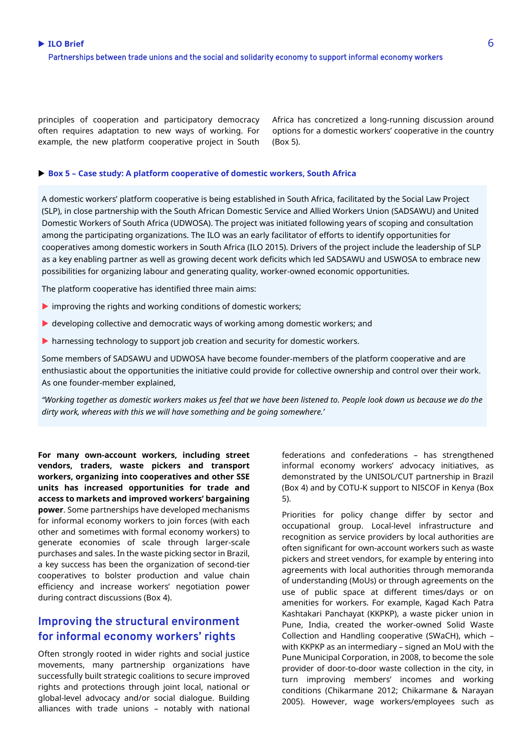principles of cooperation and participatory democracy often requires adaptation to new ways of working. For example, the new platform cooperative project in South Africa has concretized a long-running discussion around options for a domestic workers' cooperative in the country (Box 5).

#### **Box 5 – Case study: A platform cooperative of domestic workers, South Africa**

A domestic workers' platform cooperative is being established in South Africa, facilitated by the Social Law Project (SLP), in close partnership with the South African Domestic Service and Allied Workers Union (SADSAWU) and United Domestic Workers of South Africa (UDWOSA). The project was initiated following years of scoping and consultation among the participating organizations. The ILO was an early facilitator of efforts to identify opportunities for cooperatives among domestic workers in South Africa (ILO 2015). Drivers of the project include the leadership of SLP as a key enabling partner as well as growing decent work deficits which led SADSAWU and USWOSA to embrace new possibilities for organizing labour and generating quality, worker-owned economic opportunities.

The platform cooperative has identified three main aims:

- improving the rights and working conditions of domestic workers;
- developing collective and democratic ways of working among domestic workers; and
- harnessing technology to support job creation and security for domestic workers.

Some members of SADSAWU and UDWOSA have become founder-members of the platform cooperative and are enthusiastic about the opportunities the initiative could provide for collective ownership and control over their work. As one founder-member explained,

*"Working together as domestic workers makes us feel that we have been listened to. People look down us because we do the dirty work, whereas with this we will have something and be going somewhere.'* 

**For many own-account workers, including street vendors, traders, waste pickers and transport workers, organizing into cooperatives and other SSE units has increased opportunities for trade and access to markets and improved workers' bargaining power**. Some partnerships have developed mechanisms for informal economy workers to join forces (with each other and sometimes with formal economy workers) to generate economies of scale through larger-scale purchases and sales. In the waste picking sector in Brazil, a key success has been the organization of second-tier cooperatives to bolster production and value chain efficiency and increase workers' negotiation power during contract discussions (Box 4).

# **Improving the structural environment for informal economy workers' rights**

Often strongly rooted in wider rights and social justice movements, many partnership organizations have successfully built strategic coalitions to secure improved rights and protections through joint local, national or global-level advocacy and/or social dialogue. Building alliances with trade unions – notably with national federations and confederations – has strengthened informal economy workers' advocacy initiatives, as demonstrated by the UNISOL/CUT partnership in Brazil (Box 4) and by COTU-K support to NISCOF in Kenya (Box 5).

Priorities for policy change differ by sector and occupational group. Local-level infrastructure and recognition as service providers by local authorities are often significant for own-account workers such as waste pickers and street vendors, for example by entering into agreements with local authorities through memoranda of understanding (MoUs) or through agreements on the use of public space at different times/days or on amenities for workers. For example, Kagad Kach Patra Kashtakari Panchayat (KKPKP), a waste picker union in Pune, India, created the worker-owned Solid Waste Collection and Handling cooperative (SWaCH), which – with KKPKP as an intermediary – signed an MoU with the Pune Municipal Corporation, in 2008, to become the sole provider of door-to-door waste collection in the city, in turn improving members' incomes and working conditions (Chikarmane 2012; Chikarmane & Narayan 2005). However, wage workers/employees such as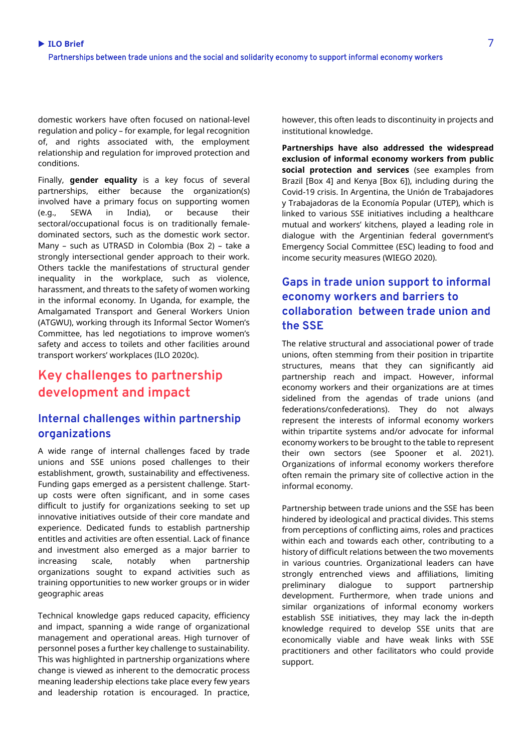domestic workers have often focused on national-level regulation and policy – for example, for legal recognition of, and rights associated with, the employment relationship and regulation for improved protection and conditions.

Finally, **gender equality** is a key focus of several partnerships, either because the organization(s) involved have a primary focus on supporting women (e.g., SEWA in India), or because their sectoral/occupational focus is on traditionally femaledominated sectors, such as the domestic work sector. Many – such as UTRASD in Colombia (Box 2) – take a strongly intersectional gender approach to their work. Others tackle the manifestations of structural gender inequality in the workplace, such as violence, harassment, and threats to the safety of women working in the informal economy. In Uganda, for example, the Amalgamated Transport and General Workers Union (ATGWU), working through its Informal Sector Women's Committee, has led negotiations to improve women's safety and access to toilets and other facilities around transport workers' workplaces (ILO 2020c).

# **Key challenges to partnership development and impact**

# **Internal challenges within partnership organizations**

A wide range of internal challenges faced by trade unions and SSE unions posed challenges to their establishment, growth, sustainability and effectiveness. Funding gaps emerged as a persistent challenge. Startup costs were often significant, and in some cases difficult to justify for organizations seeking to set up innovative initiatives outside of their core mandate and experience. Dedicated funds to establish partnership entitles and activities are often essential. Lack of finance and investment also emerged as a major barrier to increasing scale, notably when partnership organizations sought to expand activities such as training opportunities to new worker groups or in wider geographic areas

Technical knowledge gaps reduced capacity, efficiency and impact, spanning a wide range of organizational management and operational areas. High turnover of personnel poses a further key challenge to sustainability. This was highlighted in partnership organizations where change is viewed as inherent to the democratic process meaning leadership elections take place every few years and leadership rotation is encouraged. In practice,

however, this often leads to discontinuity in projects and institutional knowledge.

**Partnerships have also addressed the widespread exclusion of informal economy workers from public social protection and services** (see examples from Brazil [Box 4] and Kenya [Box 6]), including during the Covid-19 crisis. In Argentina, the Unión de Trabajadores y Trabajadoras de la Economía Popular (UTEP), which is linked to various SSE initiatives including a healthcare mutual and workers' kitchens, played a leading role in dialogue with the Argentinian federal government's Emergency Social Committee (ESC) leading to food and income security measures (WIEGO 2020).

# **Gaps in trade union support to informal economy workers and barriers to collaboration between trade union and the SSE**

The relative structural and associational power of trade unions, often stemming from their position in tripartite structures, means that they can significantly aid partnership reach and impact. However, informal economy workers and their organizations are at times sidelined from the agendas of trade unions (and federations/confederations). They do not always represent the interests of informal economy workers within tripartite systems and/or advocate for informal economy workers to be brought to the table to represent their own sectors (see Spooner et al. 2021). Organizations of informal economy workers therefore often remain the primary site of collective action in the informal economy.

Partnership between trade unions and the SSE has been hindered by ideological and practical divides. This stems from perceptions of conflicting aims, roles and practices within each and towards each other, contributing to a history of difficult relations between the two movements in various countries. Organizational leaders can have strongly entrenched views and affiliations, limiting preliminary dialogue to support partnership development. Furthermore, when trade unions and similar organizations of informal economy workers establish SSE initiatives, they may lack the in-depth knowledge required to develop SSE units that are economically viable and have weak links with SSE practitioners and other facilitators who could provide support.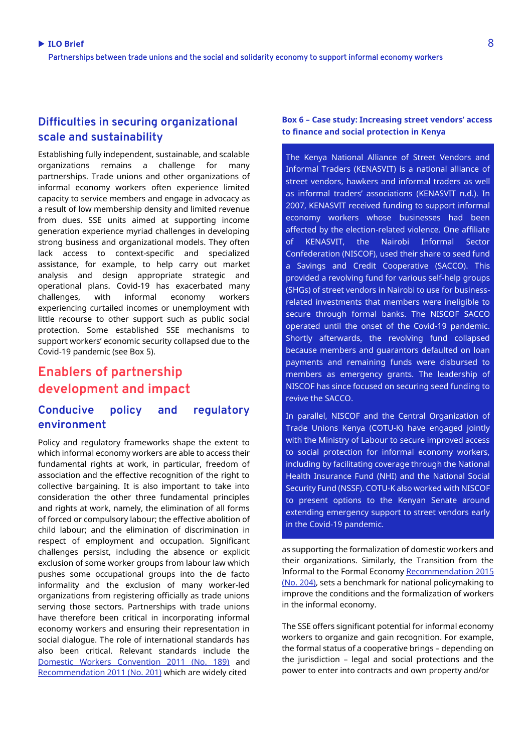# **Difficulties in securing organizational scale and sustainability**

Establishing fully independent, sustainable, and scalable organizations remains a challenge for many partnerships. Trade unions and other organizations of informal economy workers often experience limited capacity to service members and engage in advocacy as a result of low membership density and limited revenue from dues. SSE units aimed at supporting income generation experience myriad challenges in developing strong business and organizational models. They often lack access to context-specific and specialized assistance, for example, to help carry out market analysis and design appropriate strategic and operational plans. Covid-19 has exacerbated many challenges, with informal economy workers experiencing curtailed incomes or unemployment with little recourse to other support such as public social protection. Some established SSE mechanisms to support workers' economic security collapsed due to the Covid-19 pandemic (see Box 5).

# **Enablers of partnership development and impact**

# **Conducive policy and regulatory environment**

Policy and regulatory frameworks shape the extent to which informal economy workers are able to access their fundamental rights at work, in particular, freedom of association and the effective recognition of the right to collective bargaining. It is also important to take into consideration the other three fundamental principles and rights at work, namely, the elimination of all forms of forced or compulsory labour; the effective abolition of child labour; and the elimination of discrimination in respect of employment and occupation. Significant challenges persist, including the absence or explicit exclusion of some worker groups from labour law which pushes some occupational groups into the de facto informality and the exclusion of many worker-led organizations from registering officially as trade unions serving those sectors. Partnerships with trade unions have therefore been critical in incorporating informal economy workers and ensuring their representation in social dialogue. The role of international standards has also been critical. Relevant standards include the [Domestic Workers Convention 2011 \(No. 189\)](https://www.ilo.org/dyn/normlex/en/f?p=NORMLEXPUB:12100:0::NO::P12100_ILO_CODE:C189) and [Recommendation 2011 \(No. 201\)](https://www.ilo.org/dyn/normlex/en/f?p=NORMLEXPUB:12100:::NO:12100:P12100_ILO_CODE:R201:NO) which are widely cited

#### **Box 6 – Case study: Increasing street vendors' access to finance and social protection in Kenya**

The Kenya National Alliance of Street Vendors and Informal Traders (KENASVIT) is a national alliance of street vendors, hawkers and informal traders as well as informal traders' associations (KENASVIT n.d.). In 2007, KENASVIT received funding to support informal economy workers whose businesses had been affected by the election-related violence. One affiliate of KENASVIT, the Nairobi Informal Sector Confederation (NISCOF), used their share to seed fund a Savings and Credit Cooperative (SACCO). This provided a revolving fund for various self-help groups (SHGs) of street vendors in Nairobi to use for businessrelated investments that members were ineligible to secure through formal banks. The NISCOF SACCO operated until the onset of the Covid-19 pandemic. Shortly afterwards, the revolving fund collapsed because members and guarantors defaulted on loan payments and remaining funds were disbursed to members as emergency grants. The leadership of NISCOF has since focused on securing seed funding to revive the SACCO.

In parallel, NISCOF and the Central Organization of Trade Unions Kenya (COTU-K) have engaged jointly with the Ministry of Labour to secure improved access to social protection for informal economy workers, including by facilitating coverage through the National Health Insurance Fund (NHI) and the National Social Security Fund (NSSF). COTU-K also worked with NISCOF to present options to the Kenyan Senate around extending emergency support to street vendors early in the Covid-19 pandemic.

as supporting the formalization of domestic workers and their organizations. Similarly, the Transition from the Informal to the Formal Economy [Recommendation 2015](https://www.ilo.org/dyn/normlex/en/f?p=NORMLEXPUB:12100:0::NO::P12100_ILO_CODE:R204)  [\(No. 204\),](https://www.ilo.org/dyn/normlex/en/f?p=NORMLEXPUB:12100:0::NO::P12100_ILO_CODE:R204) sets a benchmark for national policymaking to improve the conditions and the formalization of workers in the informal economy.

The SSE offers significant potential for informal economy workers to organize and gain recognition. For example, the formal status of a cooperative brings – depending on the jurisdiction – legal and social protections and the power to enter into contracts and own property and/or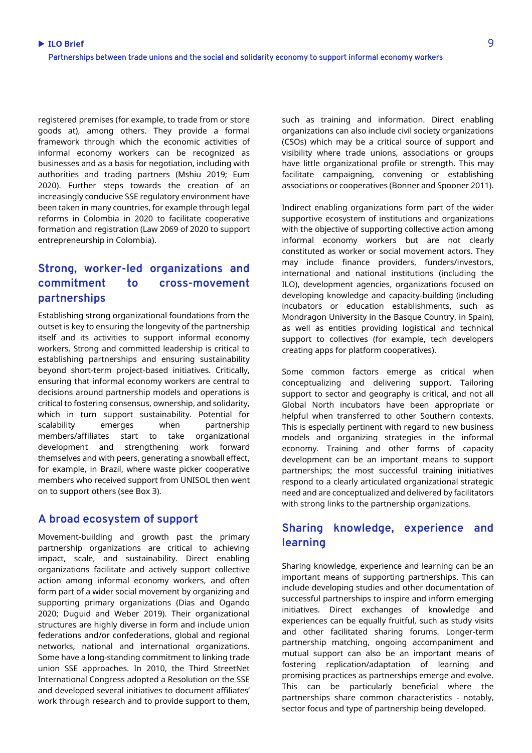registered premises (for example, to trade from or store goods at), among others. They provide a formal framework through which the economic activities of informal economy workers can be recognized as businesses and as a basis for negotiation, including with authorities and trading partners (Mshiu 2019; Eum 2020). Further steps towards the creation of an increasingly conducive SSE regulatory environment have been taken in many countries, for example through legal reforms in Colombia in 2020 to facilitate cooperative formation and registration (Law 2069 of 2020 to support entrepreneurship in Colombia).

# **Strong, worker-led organizations and commitment to cross-movement partnerships**

Establishing strong organizational foundations from the outset is key to ensuring the longevity of the partnership itself and its activities to support informal economy workers. Strong and committed leadership is critical to establishing partnerships and ensuring sustainability beyond short-term project-based initiatives. Critically, ensuring that informal economy workers are central to decisions around partnership models and operations is critical to fostering consensus, ownership, and solidarity, which in turn support sustainability. Potential for scalability emerges when partnership members/affiliates start to take organizational development and strengthening work forward themselves and with peers, generating a snowball effect, for example, in Brazil, where waste picker cooperative members who received support from UNISOL then went on to support others (see Box 3).

### **A broad ecosystem of support**

Movement-building and growth past the primary partnership organizations are critical to achieving impact, scale, and sustainability. Direct enabling organizations facilitate and actively support collective action among informal economy workers, and often form part of a wider social movement by organizing and supporting primary organizations (Dias and Ogando 2020; Duguid and Weber 2019). Their organizational structures are highly diverse in form and include union federations and/or confederations, global and regional networks, national and international organizations. Some have a long-standing commitment to linking trade union SSE approaches. In 2010, the Third StreetNet International Congress adopted a Resolution on the SSE and developed several initiatives to document affiliates' work through research and to provide support to them,

such as training and information. Direct enabling organizations can also include civil society organizations (CSOs) which may be a critical source of support and visibility where trade unions, associations or groups have little organizational profile or strength. This may facilitate campaigning, convening or establishing associations or cooperatives (Bonner and Spooner 2011).

Indirect enabling organizations form part of the wider supportive ecosystem of institutions and organizations with the objective of supporting collective action among informal economy workers but are not clearly constituted as worker or social movement actors. They may include finance providers, funders/investors, international and national institutions (including the ILO), development agencies, organizations focused on developing knowledge and capacity-building (including incubators or education establishments, such as Mondragon University in the Basque Country, in Spain), as well as entities providing logistical and technical support to collectives (for example, tech developers creating apps for platform cooperatives).

Some common factors emerge as critical when conceptualizing and delivering support. Tailoring support to sector and geography is critical, and not all Global North incubators have been appropriate or helpful when transferred to other Southern contexts. This is especially pertinent with regard to new business models and organizing strategies in the informal economy. Training and other forms of capacity development can be an important means to support partnerships; the most successful training initiatives respond to a clearly articulated organizational strategic need and are conceptualized and delivered by facilitators with strong links to the partnership organizations.

## **Sharing knowledge, experience and learning**

Sharing knowledge, experience and learning can be an important means of supporting partnerships. This can include developing studies and other documentation of successful partnerships to inspire and inform emerging initiatives. Direct exchanges of knowledge and experiences can be equally fruitful, such as study visits and other facilitated sharing forums. Longer-term partnership matching, ongoing accompaniment and mutual support can also be an important means of fostering replication/adaptation of learning and promising practices as partnerships emerge and evolve. This can be particularly beneficial where the partnerships share common characteristics - notably, sector focus and type of partnership being developed.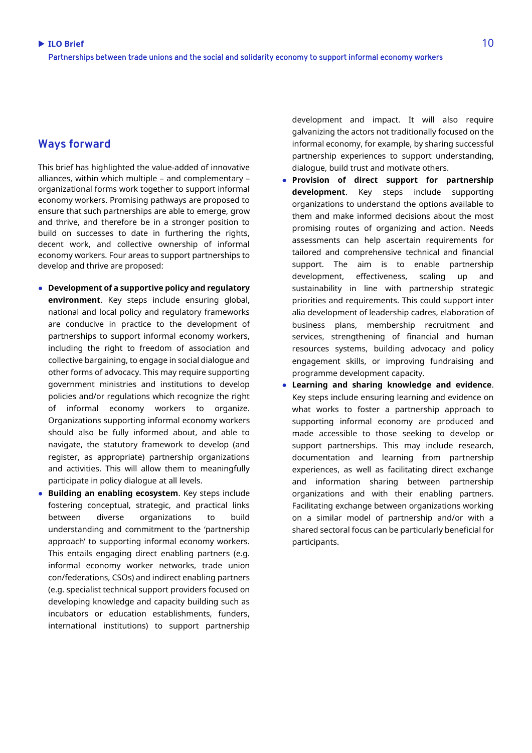## **Ways forward**

This brief has highlighted the value-added of innovative alliances, within which multiple – and complementary – organizational forms work together to support informal economy workers. Promising pathways are proposed to ensure that such partnerships are able to emerge, grow and thrive, and therefore be in a stronger position to build on successes to date in furthering the rights, decent work, and collective ownership of informal economy workers. Four areas to support partnerships to develop and thrive are proposed:

- **Development of a supportive policy and regulatory environment**. Key steps include ensuring global, national and local policy and regulatory frameworks are conducive in practice to the development of partnerships to support informal economy workers, including the right to freedom of association and collective bargaining, to engage in social dialogue and other forms of advocacy. This may require supporting government ministries and institutions to develop policies and/or regulations which recognize the right of informal economy workers to organize. Organizations supporting informal economy workers should also be fully informed about, and able to navigate, the statutory framework to develop (and register, as appropriate) partnership organizations and activities. This will allow them to meaningfully participate in policy dialogue at all levels.
- **Building an enabling ecosystem**. Key steps include fostering conceptual, strategic, and practical links between diverse organizations to build understanding and commitment to the 'partnership approach' to supporting informal economy workers. This entails engaging direct enabling partners (e.g. informal economy worker networks, trade union con/federations, CSOs) and indirect enabling partners (e.g. specialist technical support providers focused on developing knowledge and capacity building such as incubators or education establishments, funders, international institutions) to support partnership

development and impact. It will also require galvanizing the actors not traditionally focused on the informal economy, for example, by sharing successful partnership experiences to support understanding, dialogue, build trust and motivate others.

- Provision of direct support for partnership **development**. Key steps include supporting organizations to understand the options available to them and make informed decisions about the most promising routes of organizing and action. Needs assessments can help ascertain requirements for tailored and comprehensive technical and financial support. The aim is to enable partnership development, effectiveness, scaling up and sustainability in line with partnership strategic priorities and requirements. This could support inter alia development of leadership cadres, elaboration of business plans, membership recruitment and services, strengthening of financial and human resources systems, building advocacy and policy engagement skills, or improving fundraising and programme development capacity.
- **Learning and sharing knowledge and evidence**. Key steps include ensuring learning and evidence on what works to foster a partnership approach to supporting informal economy are produced and made accessible to those seeking to develop or support partnerships. This may include research, documentation and learning from partnership experiences, as well as facilitating direct exchange and information sharing between partnership organizations and with their enabling partners. Facilitating exchange between organizations working on a similar model of partnership and/or with a shared sectoral focus can be particularly beneficial for participants.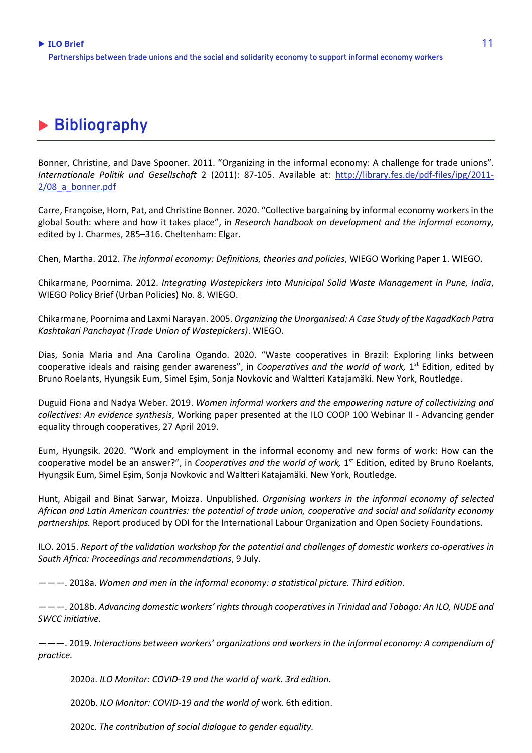# **Bibliography**

Bonner, Christine, and Dave Spooner. 2011. "Organizing in the informal economy: A challenge for trade unions". *Internationale Politik und Gesellschaft* 2 (2011): 87-105. Available at: [http://library.fes.de/pdf-files/ipg/2011-](http://library.fes.de/pdf-files/ipg/2011-2/08_a_bonner.pdf) [2/08\\_a\\_bonner.pdf](http://library.fes.de/pdf-files/ipg/2011-2/08_a_bonner.pdf)

Carre, Françoise, Horn, Pat, and Christine Bonner. 2020. "Collective bargaining by informal economy workers in the global South: where and how it takes place", in *Research handbook on development and the informal economy,*  edited by J. Charmes, 285–316. Cheltenham: Elgar.

Chen, Martha. 2012. *The informal economy: Definitions, theories and policies*, WIEGO Working Paper 1. WIEGO.

Chikarmane, Poornima. 2012. *Integrating Wastepickers into Municipal Solid Waste Management in Pune, India*, WIEGO Policy Brief (Urban Policies) No. 8. WIEGO.

Chikarmane, Poornima and Laxmi Narayan. 2005. *Organizing the Unorganised: A Case Study of the KagadKach Patra Kashtakari Panchayat (Trade Union of Wastepickers)*. WIEGO.

Dias, Sonia Maria and Ana Carolina Ogando. 2020. "Waste cooperatives in Brazil: Exploring links between cooperative ideals and raising gender awareness", in *Cooperatives and the world of work,* 1<sup>st</sup> Edition, edited by Bruno Roelants, Hyungsik Eum, Simel Eşim, Sonja Novkovic and Waltteri Katajamäki. New York, Routledge.

Duguid Fiona and Nadya Weber. 2019. *Women informal workers and the empowering nature of collectivizing and collectives: An evidence synthesis*, Working paper presented at the ILO COOP 100 Webinar II - Advancing gender equality through cooperatives, 27 April 2019.

Eum, Hyungsik. 2020. "Work and employment in the informal economy and new forms of work: How can the cooperative model be an answer?", in *Cooperatives and the world of work*, 1<sup>st</sup> Edition, edited by Bruno Roelants, Hyungsik Eum, Simel Eşim, Sonja Novkovic and Waltteri Katajamäki. New York, Routledge.

Hunt, Abigail and Binat Sarwar, Moizza. Unpublished. *Organising workers in the informal economy of selected African and Latin American countries: the potential of trade union, cooperative and social and solidarity economy partnerships.* Report produced by ODI for the International Labour Organization and Open Society Foundations.

ILO. 2015. *Report of the validation workshop for the potential and challenges of domestic workers co-operatives in South Africa: Proceedings and recommendations*, 9 July.

―――. 2018a. *Women and men in the informal economy: a statistical picture. Third edition*.

———. 2018b. *Advancing domestic workers' rights through cooperatives in Trinidad and Tobago: An ILO, NUDE and SWCC initiative.*

———. 2019. *Interactions between workers' organizations and workers in the informal economy: A compendium of practice.*

2020a. *ILO Monitor: COVID-19 and the world of work. 3rd edition.*

2020b. *ILO Monitor: COVID-19 and the world of* work. 6th edition.

2020c. *The contribution of social dialogue to gender equality.*